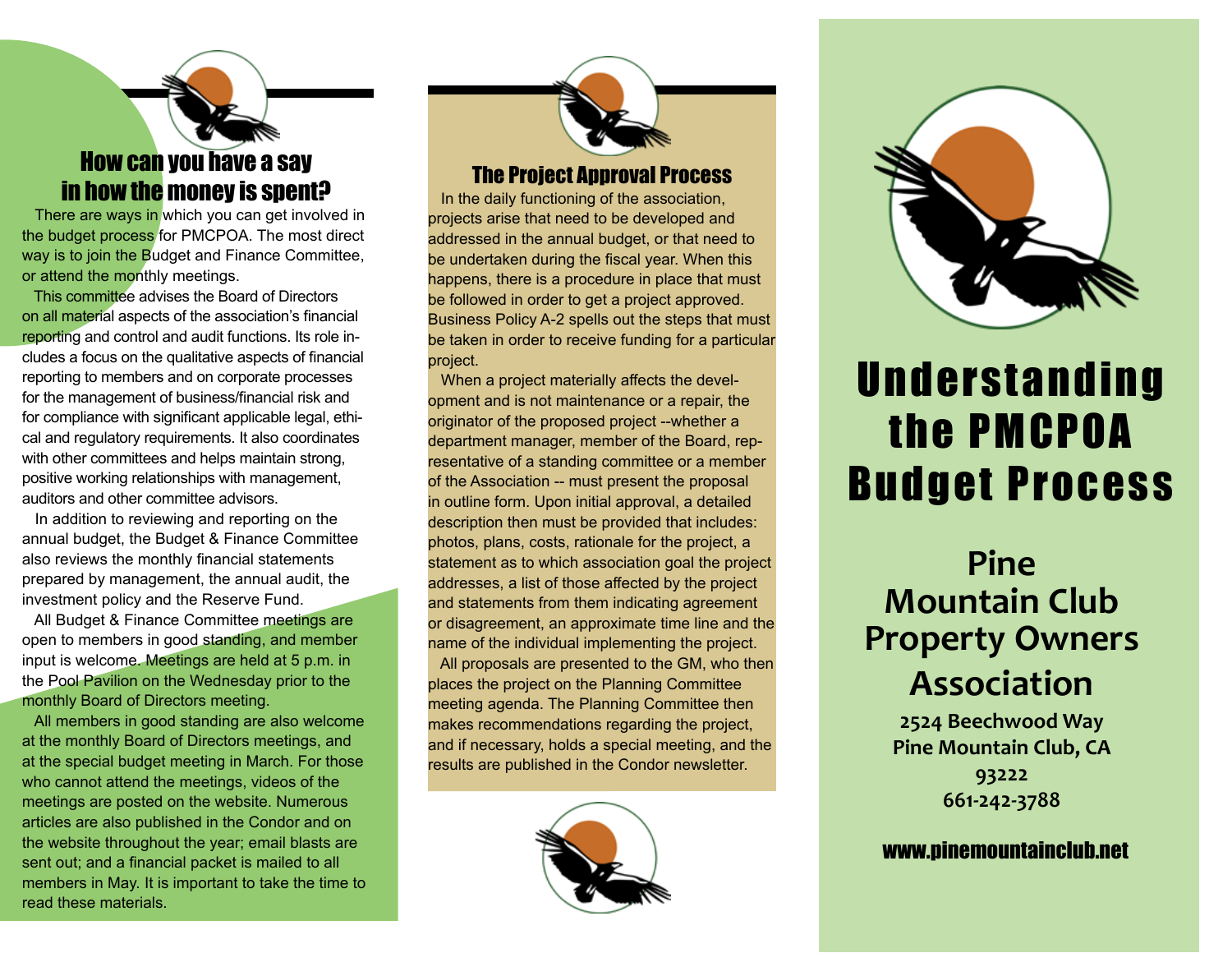### How can you have a say in how the money is spent?

There are ways in which you can get involved in the budget process for PMCPOA. The most direct way is to join the Budget and Finance Committee, or attend the monthly meetings.

 This committee advises the Board of Directors on all material aspects of the association's financial reporting and control and audit functions. Its role includes a focus on the qualitative aspects of financial reporting to members and on corporate processes for the management of business/financial risk and for compliance with significant applicable legal, ethical and regulatory requirements. It also coordinates with other committees and helps maintain strong, positive working relationships with management, auditors and other committee advisors.

 In addition to reviewing and reporting on the annual budget, the Budget & Finance Committee also reviews the monthly financial statements prepared by management, the annual audit, the investment policy and the Reserve Fund.

 All Budget & Finance Committee meetings are open to members in good standing, and member input is welcome. Meetings are held at 5 p.m. in the Pool Pavilion on the Wednesday prior to the monthly Board of Directors meeting.

 All members in good standing are also welcome at the monthly Board of Directors meetings, and at the special budget meeting in March. For those who cannot attend the meetings, videos of the meetings are posted on the website. Numerous articles are also published in the Condor and on the website throughout the year; email blasts are sent out; and a financial packet is mailed to all members in May. It is important to take the time to read these materials.

## The Project Approval Process

 In the daily functioning of the association, projects arise that need to be developed and addressed in the annual budget, or that need to be undertaken during the fiscal year. When this happens, there is a procedure in place that must be followed in order to get a project approved. Business Policy A-2 spells out the steps that must be taken in order to receive funding for a particular project.

 When a project materially affects the development and is not maintenance or a repair, the originator of the proposed project --whether a department manager, member of the Board, representative of a standing committee or a member of the Association -- must present the proposal in outline form. Upon initial approval, a detailed description then must be provided that includes: photos, plans, costs, rationale for the project, a statement as to which association goal the project addresses, a list of those affected by the project and statements from them indicating agreement or disagreement, an approximate time line and the name of the individual implementing the project. All proposals are presented to the GM, who then places the project on the Planning Committee meeting agenda. The Planning Committee then makes recommendations regarding the project, and if necessary, holds a special meeting, and the results are published in the Condor newsletter.





# **Understanding** the PMCPOA Budget Process

# **Pine Mountain Club Property Owners Association**

**2524 Beechwood Way Pine Mountain Club, CA 93222 661-242-3788**

#### www.pinemountainclub.net